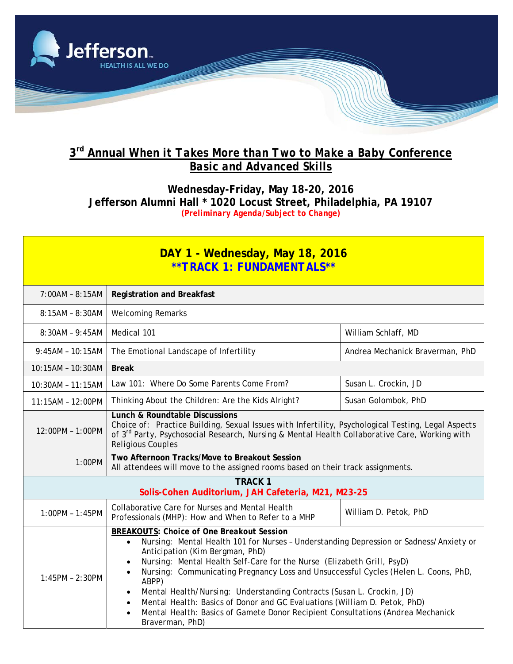

## **3rd Annual** *When it Takes More than Two to Make a Baby* **Conference** *Basic and Advanced Skills*

**Wednesday-Friday, May 18-20, 2016 Jefferson Alumni Hall \* 1020 Locust Street, Philadelphia, PA 19107** *(Preliminary Agenda/Subject to Change)* 

| DAY 1 - Wednesday, May 18, 2016<br>**TRACK 1: FUNDAMENTALS**         |                                                                                                                                                                                                                                                                                                                                                                                                                                                                                                                                                                                                                                                            |                                 |  |
|----------------------------------------------------------------------|------------------------------------------------------------------------------------------------------------------------------------------------------------------------------------------------------------------------------------------------------------------------------------------------------------------------------------------------------------------------------------------------------------------------------------------------------------------------------------------------------------------------------------------------------------------------------------------------------------------------------------------------------------|---------------------------------|--|
| $7:00AM - 8:15AM$                                                    | <b>Registration and Breakfast</b>                                                                                                                                                                                                                                                                                                                                                                                                                                                                                                                                                                                                                          |                                 |  |
| $8:15AM - 8:30AM$                                                    | <b>Welcoming Remarks</b>                                                                                                                                                                                                                                                                                                                                                                                                                                                                                                                                                                                                                                   |                                 |  |
| $8:30AM - 9:45AM$                                                    | Medical 101                                                                                                                                                                                                                                                                                                                                                                                                                                                                                                                                                                                                                                                | William Schlaff, MD             |  |
| $9:45AM - 10:15AM$                                                   | The Emotional Landscape of Infertility                                                                                                                                                                                                                                                                                                                                                                                                                                                                                                                                                                                                                     | Andrea Mechanick Braverman, PhD |  |
| 10:15AM - 10:30AM                                                    | <b>Break</b>                                                                                                                                                                                                                                                                                                                                                                                                                                                                                                                                                                                                                                               |                                 |  |
| 10:30AM - 11:15AM                                                    | Law 101: Where Do Some Parents Come From?                                                                                                                                                                                                                                                                                                                                                                                                                                                                                                                                                                                                                  | Susan L. Crockin, JD            |  |
| $11:15AM - 12:00PM$                                                  | Thinking About the Children: Are the Kids Alright?                                                                                                                                                                                                                                                                                                                                                                                                                                                                                                                                                                                                         | Susan Golombok, PhD             |  |
| 12:00PM - 1:00PM                                                     | <b>Lunch &amp; Roundtable Discussions</b><br>Choice of: Practice Building, Sexual Issues with Infertility, Psychological Testing, Legal Aspects<br>of 3 <sup>rd</sup> Party, Psychosocial Research, Nursing & Mental Health Collaborative Care, Working with<br><b>Religious Couples</b>                                                                                                                                                                                                                                                                                                                                                                   |                                 |  |
| 1:00PM                                                               | Two Afternoon Tracks/Move to Breakout Session<br>All attendees will move to the assigned rooms based on their track assignments.                                                                                                                                                                                                                                                                                                                                                                                                                                                                                                                           |                                 |  |
| <b>TRACK 1</b><br>Solis-Cohen Auditorium, JAH Cafeteria, M21, M23-25 |                                                                                                                                                                                                                                                                                                                                                                                                                                                                                                                                                                                                                                                            |                                 |  |
| $1:00PM - 1:45PM$                                                    | Collaborative Care for Nurses and Mental Health<br>Professionals (MHP): How and When to Refer to a MHP                                                                                                                                                                                                                                                                                                                                                                                                                                                                                                                                                     | William D. Petok, PhD           |  |
| $1:45PM - 2:30PM$                                                    | <b>BREAKOUTS: Choice of One Breakout Session</b><br>Nursing: Mental Health 101 for Nurses - Understanding Depression or Sadness/Anxiety or<br>$\bullet$<br>Anticipation (Kim Bergman, PhD)<br>Nursing: Mental Health Self-Care for the Nurse (Elizabeth Grill, PsyD)<br>Nursing: Communicating Pregnancy Loss and Unsuccessful Cycles (Helen L. Coons, PhD,<br>ABPP)<br>Mental Health/Nursing: Understanding Contracts (Susan L. Crockin, JD)<br>$\bullet$<br>Mental Health: Basics of Donor and GC Evaluations (William D. Petok, PhD)<br>$\bullet$<br>Mental Health: Basics of Gamete Donor Recipient Consultations (Andrea Mechanick<br>Braverman, PhD) |                                 |  |